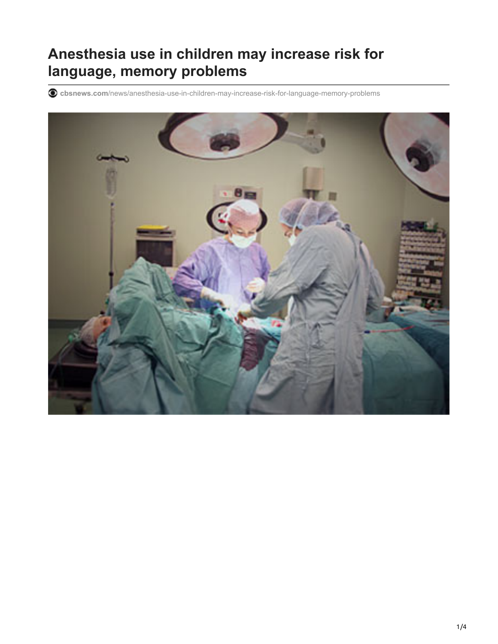## **Anesthesia use in children may increase risk for language, memory problems**

**cbsnews.com**[/news/anesthesia-use-in-children-may-increase-risk-for-language-memory-problems](https://www.cbsnews.com/news/anesthesia-use-in-children-may-increase-risk-for-language-memory-problems/)

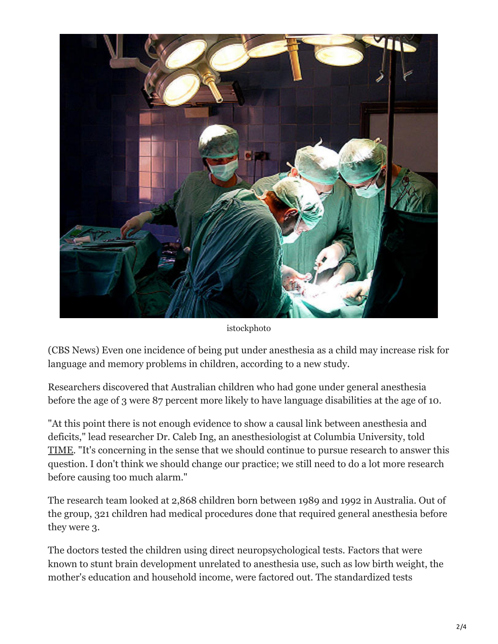

istockphoto

(CBS News) Even one incidence of being put under anesthesia as a child may increase risk for language and memory problems in children, according to a new study.

Researchers discovered that Australian children who had gone under general anesthesia before the age of 3 were 87 percent more likely to have language disabilities at the age of 10.

"At this point there is not enough evidence to show a causal link between anesthesia and deficits," lead researcher Dr. Caleb Ing, an anesthesiologist at Columbia University, told [TIME](http://healthland.time.com/2012/08/20/study-shows-anesthesia-may-lead-to-language-deficits-in-children/). "It's concerning in the sense that we should continue to pursue research to answer this question. I don't think we should change our practice; we still need to do a lot more research before causing too much alarm."

The research team looked at 2,868 children born between 1989 and 1992 in Australia. Out of the group, 321 children had medical procedures done that required general anesthesia before they were 3.

The doctors tested the children using direct neuropsychological tests. Factors that were known to stunt brain development unrelated to anesthesia use, such as low birth weight, the mother's education and household income, were factored out. The standardized tests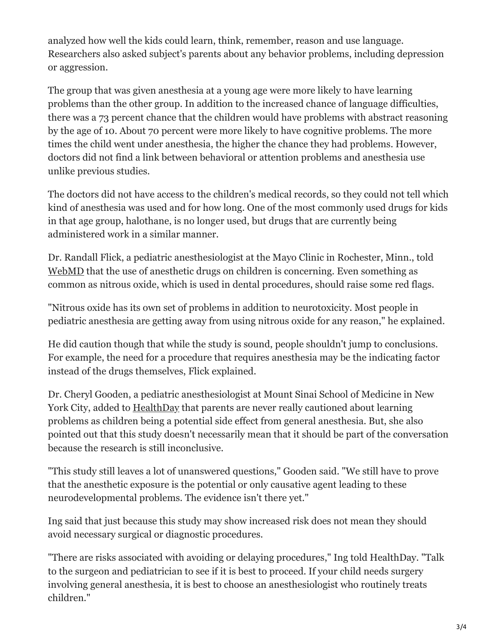analyzed how well the kids could learn, think, remember, reason and use language. Researchers also asked subject's parents about any behavior problems, including depression or aggression.

The group that was given anesthesia at a young age were more likely to have learning problems than the other group. In addition to the increased chance of language difficulties, there was a 73 percent chance that the children would have problems with abstract reasoning by the age of 10. About 70 percent were more likely to have cognitive problems. The more times the child went under anesthesia, the higher the chance they had problems. However, doctors did not find a link between behavioral or attention problems and anesthesia use unlike previous studies.

The doctors did not have access to the children's medical records, so they could not tell which kind of anesthesia was used and for how long. One of the most commonly used drugs for kids in that age group, halothane, is no longer used, but drugs that are currently being administered work in a similar manner.

Dr. Randall Flick, a pediatric anesthesiologist at the Mayo Clinic in Rochester, Minn., told [WebMD](http://www.webmd.com/parenting/baby/news/20120820/anesthesia-may-harm-childrens-brains?page=2) that the use of anesthetic drugs on children is concerning. Even something as common as nitrous oxide, which is used in dental procedures, should raise some red flags.

"Nitrous oxide has its own set of problems in addition to neurotoxicity. Most people in pediatric anesthesia are getting away from using nitrous oxide for any reason," he explained.

He did caution though that while the study is sound, people shouldn't jump to conclusions. For example, the need for a procedure that requires anesthesia may be the indicating factor instead of the drugs themselves, Flick explained.

Dr. Cheryl Gooden, a pediatric anesthesiologist at Mount Sinai School of Medicine in New York City, added to [HealthDay](http://health.usnews.com/health-news/news/articles/2012/08/20/anesthesia-before-age-3-may-raise-risk-of-learning-delays-study) that parents are never really cautioned about learning problems as children being a potential side effect from general anesthesia. But, she also pointed out that this study doesn't necessarily mean that it should be part of the conversation because the research is still inconclusive.

"This study still leaves a lot of unanswered questions," Gooden said. "We still have to prove that the anesthetic exposure is the potential or only causative agent leading to these neurodevelopmental problems. The evidence isn't there yet."

Ing said that just because this study may show increased risk does not mean they should avoid necessary surgical or diagnostic procedures.

"There are risks associated with avoiding or delaying procedures," Ing told HealthDay. "Talk to the surgeon and pediatrician to see if it is best to proceed. If your child needs surgery involving general anesthesia, it is best to choose an anesthesiologist who routinely treats children."